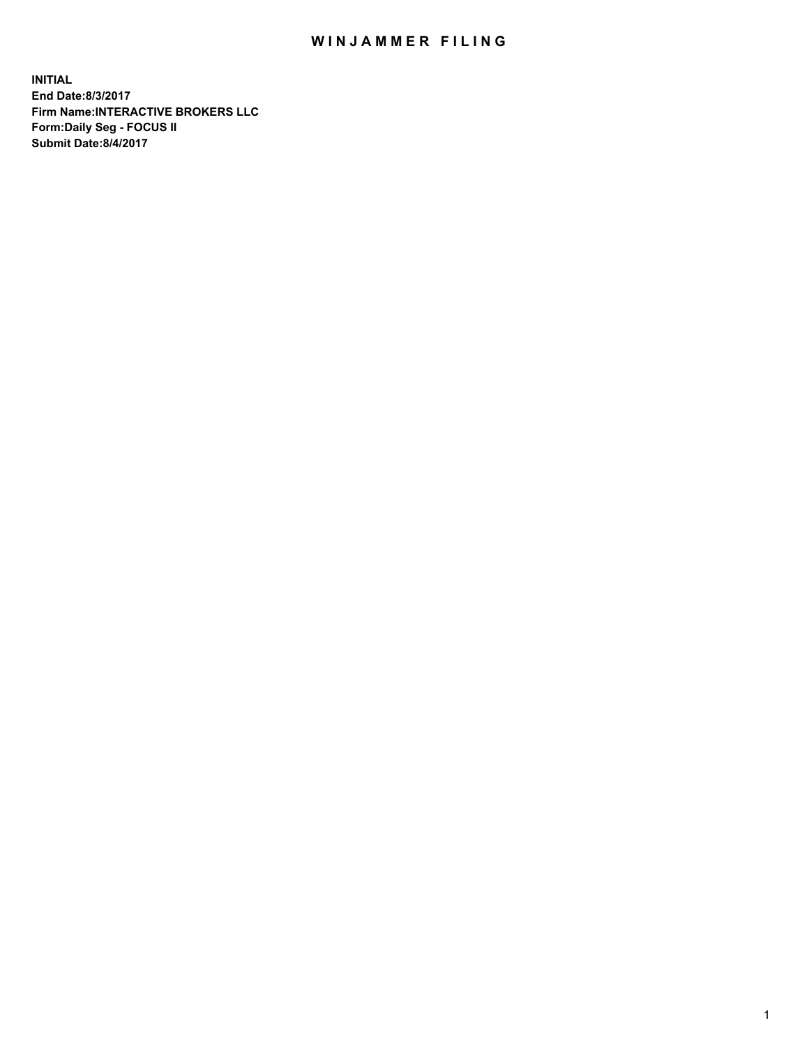## WIN JAMMER FILING

**INITIAL End Date:8/3/2017 Firm Name:INTERACTIVE BROKERS LLC Form:Daily Seg - FOCUS II Submit Date:8/4/2017**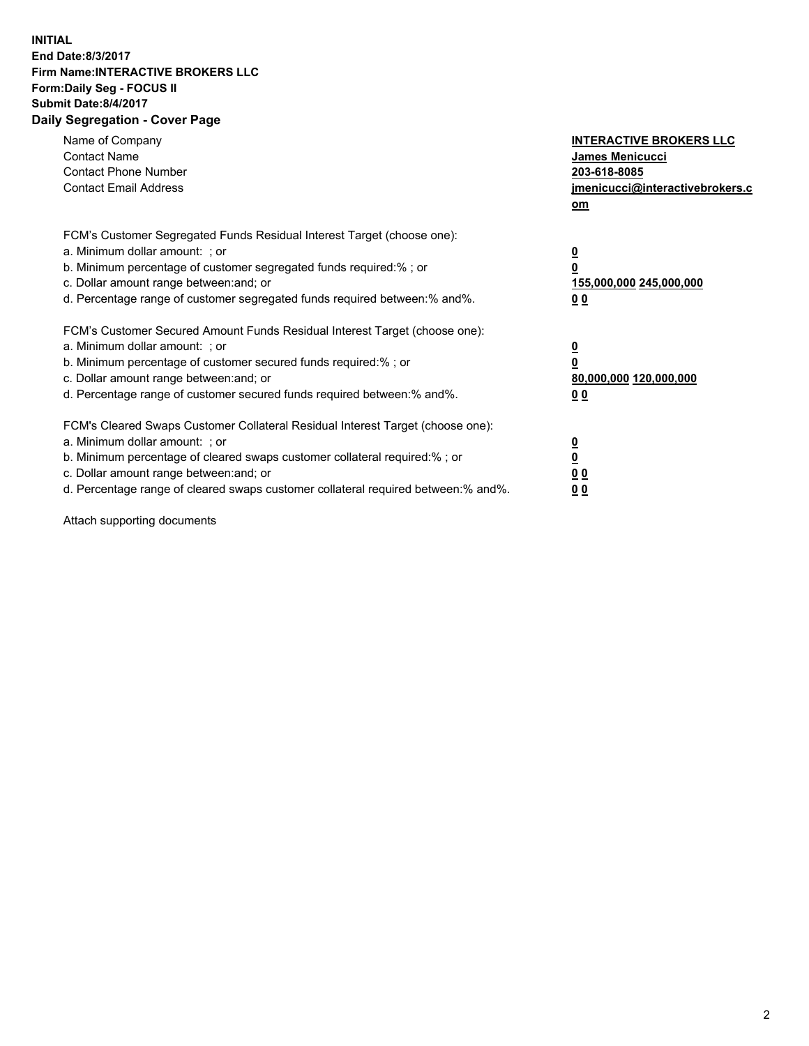## **INITIAL End Date:8/3/2017 Firm Name:INTERACTIVE BROKERS LLC Form:Daily Seg - FOCUS II Submit Date:8/4/2017 Daily Segregation - Cover Page**

| Name of Company<br><b>Contact Name</b><br><b>Contact Phone Number</b><br><b>Contact Email Address</b>                                                                                                                                                                                                                          | <b>INTERACTIVE BROKERS LLC</b><br>James Menicucci<br>203-618-8085<br>jmenicucci@interactivebrokers.c<br>om |
|--------------------------------------------------------------------------------------------------------------------------------------------------------------------------------------------------------------------------------------------------------------------------------------------------------------------------------|------------------------------------------------------------------------------------------------------------|
| FCM's Customer Segregated Funds Residual Interest Target (choose one):<br>a. Minimum dollar amount: ; or<br>b. Minimum percentage of customer segregated funds required:% ; or<br>c. Dollar amount range between: and; or<br>d. Percentage range of customer segregated funds required between:% and%.                         | $\overline{\mathbf{0}}$<br>0<br>155,000,000 245,000,000<br>0 <sub>0</sub>                                  |
| FCM's Customer Secured Amount Funds Residual Interest Target (choose one):<br>a. Minimum dollar amount: ; or<br>b. Minimum percentage of customer secured funds required:%; or<br>c. Dollar amount range between: and; or<br>d. Percentage range of customer secured funds required between: % and %.                          | $\overline{\mathbf{0}}$<br>0<br>80,000,000 120,000,000<br>0 <sub>0</sub>                                   |
| FCM's Cleared Swaps Customer Collateral Residual Interest Target (choose one):<br>a. Minimum dollar amount: ; or<br>b. Minimum percentage of cleared swaps customer collateral required:% ; or<br>c. Dollar amount range between: and; or<br>d. Percentage range of cleared swaps customer collateral required between:% and%. | $\overline{\mathbf{0}}$<br>$\overline{\mathbf{0}}$<br>0 <sub>0</sub><br>0 <sub>0</sub>                     |

Attach supporting documents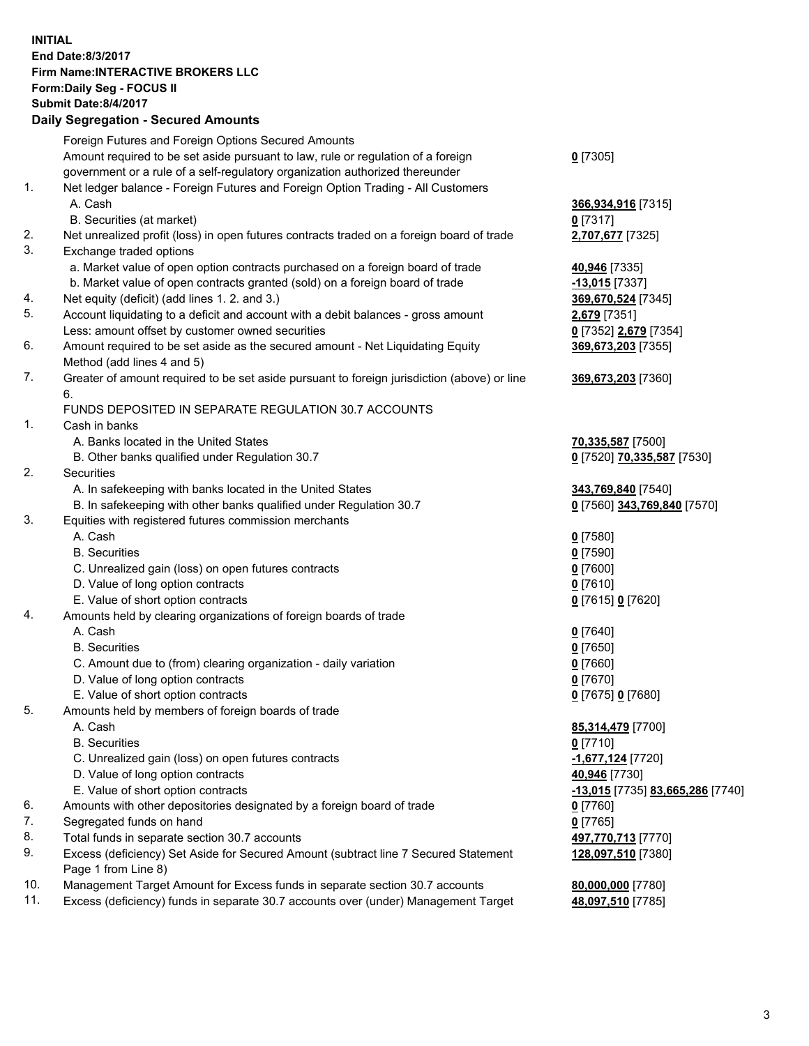## **INITIAL End Date:8/3/2017 Firm Name:INTERACTIVE BROKERS LLC Form:Daily Seg - FOCUS II Submit Date:8/4/2017 Daily Segregation - Secured Amounts**

|     | Foreign Futures and Foreign Options Secured Amounts                                         |                                  |
|-----|---------------------------------------------------------------------------------------------|----------------------------------|
|     | Amount required to be set aside pursuant to law, rule or regulation of a foreign            | $0$ [7305]                       |
|     | government or a rule of a self-regulatory organization authorized thereunder                |                                  |
| 1.  | Net ledger balance - Foreign Futures and Foreign Option Trading - All Customers             |                                  |
|     | A. Cash                                                                                     | 366,934,916 [7315]               |
|     | B. Securities (at market)                                                                   | $0$ [7317]                       |
| 2.  | Net unrealized profit (loss) in open futures contracts traded on a foreign board of trade   | 2,707,677 [7325]                 |
| 3.  | Exchange traded options                                                                     |                                  |
|     | a. Market value of open option contracts purchased on a foreign board of trade              | 40,946 [7335]                    |
|     | b. Market value of open contracts granted (sold) on a foreign board of trade                | $-13,015$ [7337]                 |
| 4.  | Net equity (deficit) (add lines 1.2. and 3.)                                                | 369,670,524 [7345]               |
| 5.  | Account liquidating to a deficit and account with a debit balances - gross amount           | 2,679 [7351]                     |
|     | Less: amount offset by customer owned securities                                            | 0 [7352] 2,679 [7354]            |
| 6.  | Amount required to be set aside as the secured amount - Net Liquidating Equity              | 369,673,203 [7355]               |
|     | Method (add lines 4 and 5)                                                                  |                                  |
| 7.  | Greater of amount required to be set aside pursuant to foreign jurisdiction (above) or line | 369,673,203 [7360]               |
|     |                                                                                             |                                  |
|     | 6.                                                                                          |                                  |
|     | FUNDS DEPOSITED IN SEPARATE REGULATION 30.7 ACCOUNTS                                        |                                  |
| 1.  | Cash in banks                                                                               |                                  |
|     | A. Banks located in the United States                                                       | 70,335,587 [7500]                |
|     | B. Other banks qualified under Regulation 30.7                                              | 0 [7520] 70,335,587 [7530]       |
| 2.  | Securities                                                                                  |                                  |
|     | A. In safekeeping with banks located in the United States                                   | 343,769,840 [7540]               |
|     | B. In safekeeping with other banks qualified under Regulation 30.7                          | 0 [7560] 343,769,840 [7570]      |
| 3.  | Equities with registered futures commission merchants                                       |                                  |
|     | A. Cash                                                                                     | $0$ [7580]                       |
|     | <b>B.</b> Securities                                                                        | $0$ [7590]                       |
|     | C. Unrealized gain (loss) on open futures contracts                                         | $0$ [7600]                       |
|     | D. Value of long option contracts                                                           | $0$ [7610]                       |
|     | E. Value of short option contracts                                                          | 0 [7615] 0 [7620]                |
| 4.  | Amounts held by clearing organizations of foreign boards of trade                           |                                  |
|     | A. Cash                                                                                     | $0$ [7640]                       |
|     | <b>B.</b> Securities                                                                        | $0$ [7650]                       |
|     | C. Amount due to (from) clearing organization - daily variation                             | $0$ [7660]                       |
|     | D. Value of long option contracts                                                           | $0$ [7670]                       |
|     | E. Value of short option contracts                                                          | 0 [7675] 0 [7680]                |
| 5.  | Amounts held by members of foreign boards of trade                                          |                                  |
|     | A. Cash                                                                                     | 85,314,479 [7700]                |
|     | <b>B.</b> Securities                                                                        | $0$ [7710]                       |
|     | C. Unrealized gain (loss) on open futures contracts                                         | -1,677,124 [7720]                |
|     | D. Value of long option contracts                                                           | 40,946 [7730]                    |
|     | E. Value of short option contracts                                                          | -13,015 [7735] 83,665,286 [7740] |
| 6.  | Amounts with other depositories designated by a foreign board of trade                      | $0$ [7760]                       |
| 7.  | Segregated funds on hand                                                                    | $0$ [7765]                       |
| 8.  | Total funds in separate section 30.7 accounts                                               | 497,770,713 [7770]               |
| 9.  | Excess (deficiency) Set Aside for Secured Amount (subtract line 7 Secured Statement         | 128,097,510 [7380]               |
|     | Page 1 from Line 8)                                                                         |                                  |
| 10. | Management Target Amount for Excess funds in separate section 30.7 accounts                 | 80,000,000 [7780]                |
| 11. | Excess (deficiency) funds in separate 30.7 accounts over (under) Management Target          | 48,097,510 [7785]                |
|     |                                                                                             |                                  |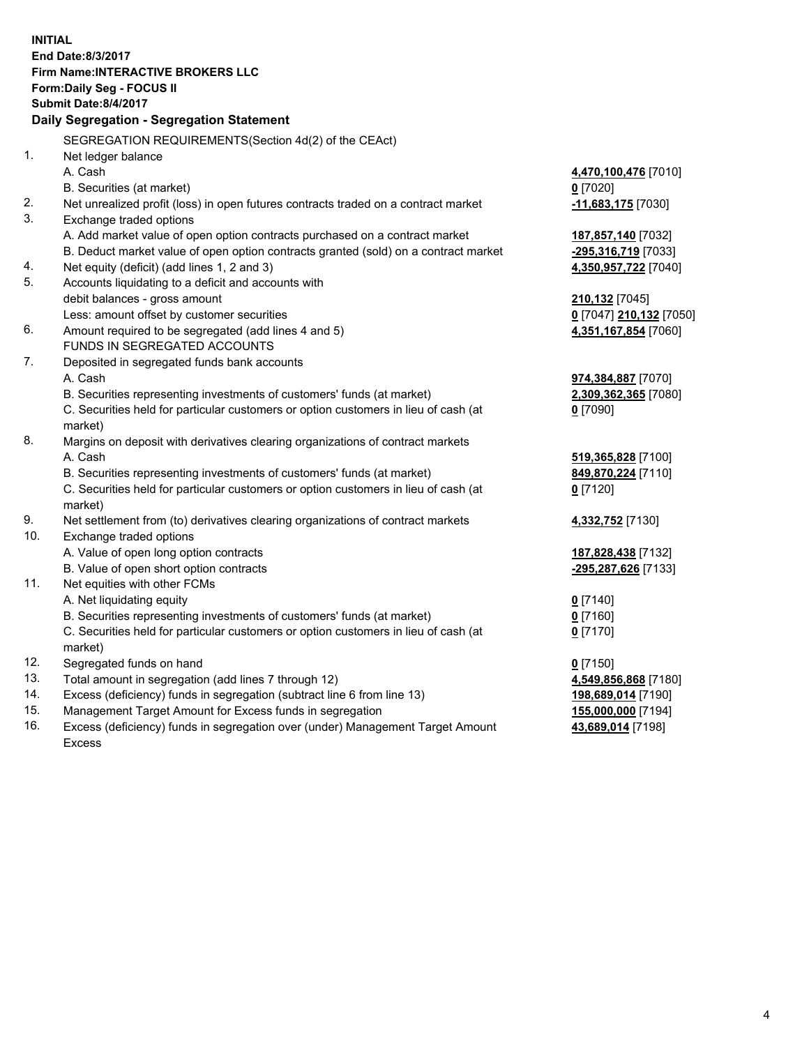**INITIAL End Date:8/3/2017 Firm Name:INTERACTIVE BROKERS LLC Form:Daily Seg - FOCUS II Submit Date:8/4/2017 Daily Segregation - Segregation Statement** SEGREGATION REQUIREMENTS(Section 4d(2) of the CEAct) 1. Net ledger balance A. Cash **4,470,100,476** [7010] B. Securities (at market) **0** [7020] 2. Net unrealized profit (loss) in open futures contracts traded on a contract market **-11,683,175** [7030] 3. Exchange traded options A. Add market value of open option contracts purchased on a contract market **187,857,140** [7032] B. Deduct market value of open option contracts granted (sold) on a contract market **-295,316,719** [7033] 4. Net equity (deficit) (add lines 1, 2 and 3) **4,350,957,722** [7040] 5. Accounts liquidating to a deficit and accounts with debit balances - gross amount **210,132** [7045] Less: amount offset by customer securities **0** [7047] **210,132** [7050] 6. Amount required to be segregated (add lines 4 and 5) **4,351,167,854** [7060] FUNDS IN SEGREGATED ACCOUNTS 7. Deposited in segregated funds bank accounts A. Cash **974,384,887** [7070] B. Securities representing investments of customers' funds (at market) **2,309,362,365** [7080] C. Securities held for particular customers or option customers in lieu of cash (at market) **0** [7090] 8. Margins on deposit with derivatives clearing organizations of contract markets A. Cash **519,365,828** [7100] B. Securities representing investments of customers' funds (at market) **849,870,224** [7110] C. Securities held for particular customers or option customers in lieu of cash (at market) **0** [7120] 9. Net settlement from (to) derivatives clearing organizations of contract markets **4,332,752** [7130] 10. Exchange traded options A. Value of open long option contracts **187,828,438** [7132] B. Value of open short option contracts **-295,287,626** [7133] 11. Net equities with other FCMs A. Net liquidating equity **0** [7140] B. Securities representing investments of customers' funds (at market) **0** [7160] C. Securities held for particular customers or option customers in lieu of cash (at market) **0** [7170] 12. Segregated funds on hand **0** [7150] 13. Total amount in segregation (add lines 7 through 12) **4,549,856,868** [7180] 14. Excess (deficiency) funds in segregation (subtract line 6 from line 13) **198,689,014** [7190] 15. Management Target Amount for Excess funds in segregation **155,000,000** [7194] **43,689,014** [7198]

16. Excess (deficiency) funds in segregation over (under) Management Target Amount Excess